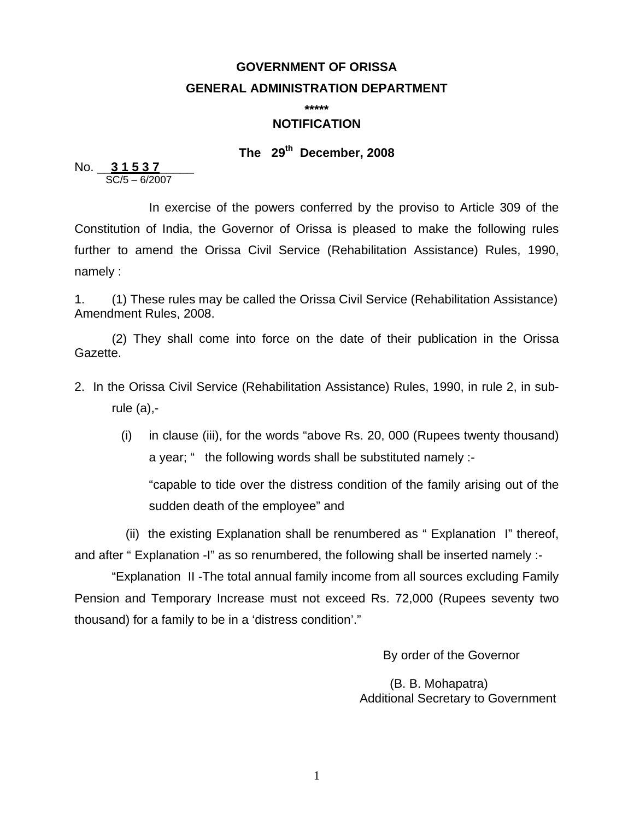# **GOVERNMENT OF ORISSA GENERAL ADMINISTRATION DEPARTMENT**

**\*\*\*\*\*** 

#### **NOTIFICATION**

## **The 29th December, 2008**

No.  $\frac{31537}{\text{SC}/5 - 6/2007}$ 

 In exercise of the powers conferred by the proviso to Article 309 of the Constitution of India, the Governor of Orissa is pleased to make the following rules further to amend the Orissa Civil Service (Rehabilitation Assistance) Rules, 1990, namely :

1. (1) These rules may be called the Orissa Civil Service (Rehabilitation Assistance) Amendment Rules, 2008.

(2) They shall come into force on the date of their publication in the Orissa Gazette.

- 2. In the Orissa Civil Service (Rehabilitation Assistance) Rules, 1990, in rule 2, in subrule (a),-
	- (i) in clause (iii), for the words "above Rs. 20, 000 (Rupees twenty thousand) a year; " the following words shall be substituted namely :-

"capable to tide over the distress condition of the family arising out of the sudden death of the employee" and

 (ii) the existing Explanation shall be renumbered as " Explanation I" thereof, and after " Explanation -I" as so renumbered, the following shall be inserted namely :-

 "Explanation II -The total annual family income from all sources excluding Family Pension and Temporary Increase must not exceed Rs. 72,000 (Rupees seventy two thousand) for a family to be in a 'distress condition'."

By order of the Governor

 (B. B. Mohapatra) Additional Secretary to Government